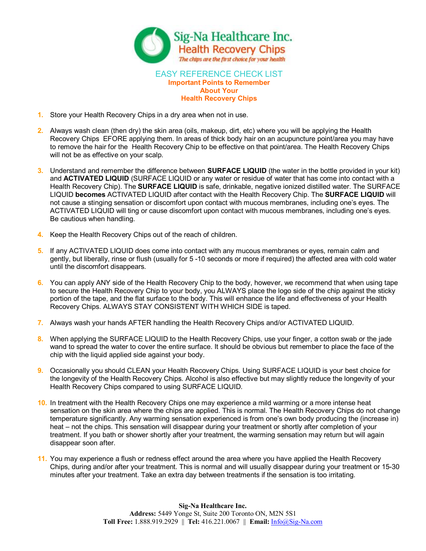

## EASY REFERENCE CHECK LIST **Important Points to Remember About Your Health Recovery Chips**

- **1.** Store your Health Recovery Chips in a dry area when not in use.
- **2.** Always wash clean (then dry) the skin area (oils, makeup, dirt, etc) where you will be applying the Health Recovery Chips EFORE applying them. In areas of thick body hair on an acupuncture point/area you may have to remove the hair for the Health Recovery Chip to be effective on that point/area. The Health Recovery Chips will not be as effective on your scalp.
- **3.** Understand and remember the difference between **SURFACE LIQUID** (the water in the bottle provided in your kit) and **ACTIVATED LIQUID** (SURFACE LIQUID or any water or residue of water that has come into contact with a Health Recovery Chip). The **SURFACE LIQUID** is safe, drinkable, negative ionized distilled water. The SURFACE LIQUID **becomes** ACTIVATED LIQUID after contact with the Health Recovery Chip. The **SURFACE LIQUID** will not cause a stinging sensation or discomfort upon contact with mucous membranes, including one's eyes. The ACTIVATED LIQUID will ting or cause discomfort upon contact with mucous membranes, including one's eyes. Be cautious when handling.
- **4.** Keep the Health Recovery Chips out of the reach of children.
- **5.** If any ACTIVATED LIQUID does come into contact with any mucous membranes or eyes, remain calm and gently, but liberally, rinse or flush (usually for 5 10 seconds or more if required) the affected area with cold water until the discomfort disappears.
- **6.** You can apply ANY side of the Health Recovery Chip to the body, however, we recommend that when using tape to secure the Health Recovery Chip to your body, you ALWAYS place the logo side of the chip against the sticky portion of the tape, and the flat surface to the body. This will enhance the life and effectiveness of your Health Recovery Chips. ALWAYS STAY CONSISTENT WITH WHICH SIDE is taped.
- **7.** Always wash your hands AFTER handling the Health Recovery Chips and/or ACTIVATED LIQUID.
- **8.** When applying the SURFACE LIQUID to the Health Recovery Chips, use your finger, a cotton swab or the jade wand to spread the water to cover the entire surface. It should be obvious but remember to place the face of the chip with the liquid applied side against your body.
- **9.** Occasionally you should CLEAN your Health Recovery Chips. Using SURFACE LIQUID is your best choice for the longevity of the Health Recovery Chips. Alcohol is also effective but may slightly reduce the longevity of your Health Recovery Chips compared to using SURFACE LIQUID.
- **10.** In treatment with the Health Recovery Chips one may experience a mild warming or a more intense heat sensation on the skin area where the chips are applied. This is normal. The Health Recovery Chips do not change temperature significantly. Any warming sensation experienced is from one's own body producing the (increase in) heat – not the chips. This sensation will disappear during your treatment or shortly after completion of your treatment. If you bath or shower shortly after your treatment, the warming sensation may return but will again disappear soon after.
- **11.** You may experience a flush or redness effect around the area where you have applied the Health Recovery Chips, during and/or after your treatment. This is normal and will usually disappear during your treatment or 1530 minutes after your treatment. Take an extra day between treatments if the sensation is too irritating.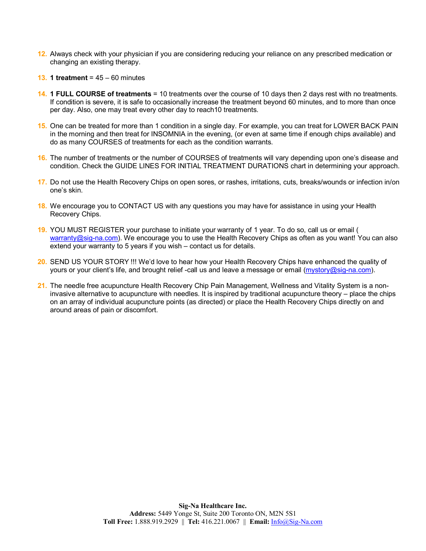- **12.** Always check with your physician if you are considering reducing your reliance on any prescribed medication or changing an existing therapy.
- **13. 1 treatment** = 45 60 minutes
- **14. 1 FULL COURSE of treatments** = 10 treatments over the course of 10 days then 2 days rest with no treatments. If condition is severe, it is safe to occasionally increase the treatment beyond 60 minutes, and to more than once per day. Also, one may treat every other day to reach10 treatments.
- **15.** One can be treated for more than 1 condition in a single day. For example, you can treat for LOWER BACK PAIN in the morning and then treat for INSOMNIA in the evening, (or even at same time if enough chips available) and do as many COURSES of treatments for each as the condition warrants.
- **16.** The number of treatments or the number of COURSES of treatments will vary depending upon one's disease and condition. Check the GUIDE LINES FOR INITIAL TREATMENT DURATIONS chart in determining your approach.
- **17.** Do not use the Health Recovery Chips on open sores, or rashes, irritations, cuts, breaks/wounds or infection in/on one's skin.
- **18.** We encourage you to CONTACT US with any questions you may have for assistance in using your Health Recovery Chips.
- **19.** YOU MUST REGISTER your purchase to initiate your warranty of 1 year. To do so, call us or email ( warranty@sig-na.com). We encourage you to use the Health Recovery Chips as often as you want! You can also extend your warranty to 5 years if you wish – contact us for details.
- **20.** SEND US YOUR STORY !!! We'd love to hear how your Health Recovery Chips have enhanced the quality of yours or your client's life, and brought relief -call us and leave a message or email (mystory@sig-na.com).
- **21.** The needle free acupuncture Health Recovery Chip Pain Management, Wellness and Vitality System is a non invasive alternative to acupuncture with needles. It is inspired by traditional acupuncture theory – place the chips on an array of individual acupuncture points (as directed) or place the Health Recovery Chips directly on and around areas of pain or discomfort.